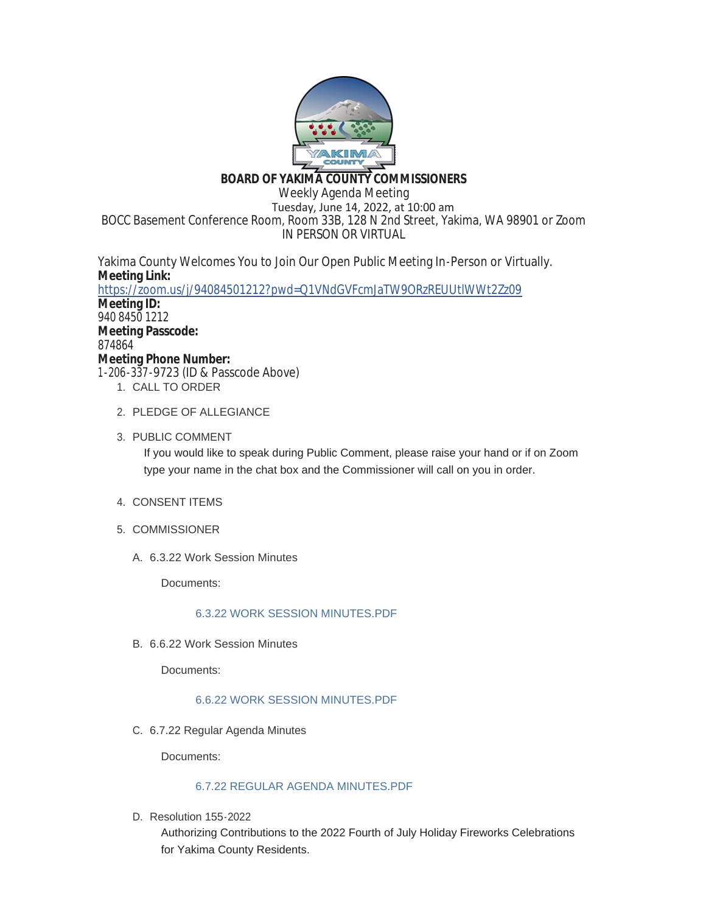

# **BOARD OF YAKIMA COUNTY COMMISSIONERS**

Weekly Agenda Meeting Tuesday, June 14, 2022, at 10:00 am BOCC Basement Conference Room, Room 33B, 128 N 2nd Street, Yakima, WA 98901 or Zoom IN PERSON OR VIRTUAL

Yakima County Welcomes You to Join Our Open Public Meeting In-Person or Virtually. **Meeting Link:** <https://zoom.us/j/94084501212?pwd=Q1VNdGVFcmJaTW9ORzREUUtlWWt2Zz09> **Meeting ID:**

940 8450 1212 **Meeting Passcode:** 874864 **Meeting Phone Number:** 1-206-337-9723 (ID & Passcode Above)

- 1. CALL TO ORDER
- 2. PLEDGE OF ALLEGIANCE
- 3. PUBLIC COMMENT

If you would like to speak during Public Comment, please raise your hand or if on Zoom type your name in the chat box and the Commissioner will call on you in order.

- 4. CONSENT ITEMS
- 5. COMMISSIONER
	- 6.3.22 Work Session Minutes A.

Documents:

## [6.3.22 WORK SESSION MINUTES.PDF](https://www.yakimacounty.us/AgendaCenter/ViewFile/Item/4611?fileID=16275)

6.6.22 Work Session Minutes B.

Documents:

## [6.6.22 WORK SESSION MINUTES.PDF](https://www.yakimacounty.us/AgendaCenter/ViewFile/Item/4612?fileID=16276)

6.7.22 Regular Agenda Minutes C.

Documents:

## [6.7.22 REGULAR AGENDA MINUTES.PDF](https://www.yakimacounty.us/AgendaCenter/ViewFile/Item/4613?fileID=16277)

D. Resolution 155-2022

Authorizing Contributions to the 2022 Fourth of July Holiday Fireworks Celebrations for Yakima County Residents.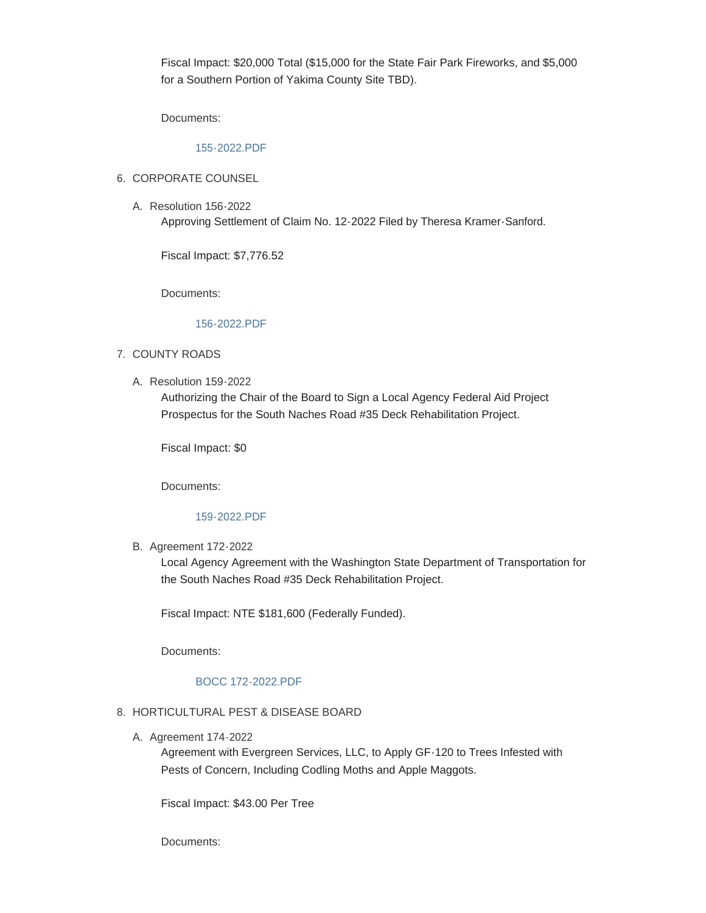Fiscal Impact: \$20,000 Total (\$15,000 for the State Fair Park Fireworks, and \$5,000 for a Southern Portion of Yakima County Site TBD).

Documents:

### [155-2022.PDF](https://www.yakimacounty.us/AgendaCenter/ViewFile/Item/4614?fileID=16278)

### 6. CORPORATE COUNSEL

Resolution 156-2022 A. Approving Settlement of Claim No. 12-2022 Filed by Theresa Kramer-Sanford.

Fiscal Impact: \$7,776.52

Documents:

### [156-2022.PDF](https://www.yakimacounty.us/AgendaCenter/ViewFile/Item/4615?fileID=16279)

### 7. COUNTY ROADS

A. Resolution 159-2022

Authorizing the Chair of the Board to Sign a Local Agency Federal Aid Project Prospectus for the South Naches Road #35 Deck Rehabilitation Project.

Fiscal Impact: \$0

Documents:

### [159-2022.PDF](https://www.yakimacounty.us/AgendaCenter/ViewFile/Item/4616?fileID=16280)

B. Agreement 172-2022

Local Agency Agreement with the Washington State Department of Transportation for the South Naches Road #35 Deck Rehabilitation Project.

Fiscal Impact: NTE \$181,600 (Federally Funded).

Documents:

## [BOCC 172-2022.PDF](https://www.yakimacounty.us/AgendaCenter/ViewFile/Item/4617?fileID=16281)

### 8. HORTICULTURAL PEST & DISEASE BOARD

A. Agreement 174-2022

Agreement with Evergreen Services, LLC, to Apply GF-120 to Trees Infested with Pests of Concern, Including Codling Moths and Apple Maggots.

Fiscal Impact: \$43.00 Per Tree

Documents: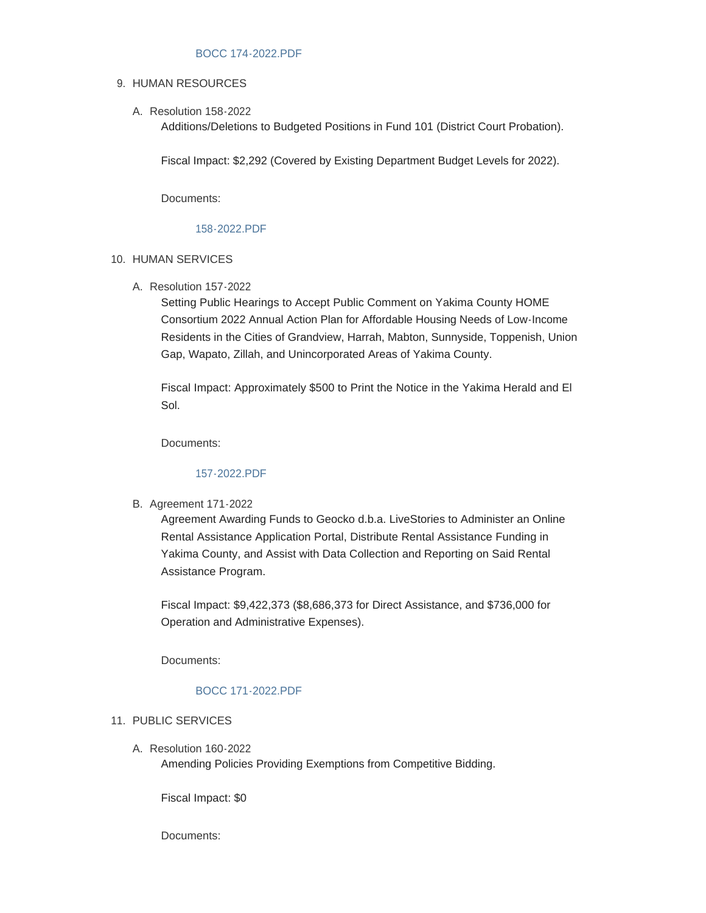### [BOCC 174-2022.PDF](https://www.yakimacounty.us/AgendaCenter/ViewFile/Item/4618?fileID=16282)

### 9. HUMAN RESOURCES

Resolution 158-2022 A.

Additions/Deletions to Budgeted Positions in Fund 101 (District Court Probation).

Fiscal Impact: \$2,292 (Covered by Existing Department Budget Levels for 2022).

Documents:

### [158-2022.PDF](https://www.yakimacounty.us/AgendaCenter/ViewFile/Item/4619?fileID=16283)

### 10. HUMAN SERVICES

Resolution 157-2022 A.

Setting Public Hearings to Accept Public Comment on Yakima County HOME Consortium 2022 Annual Action Plan for Affordable Housing Needs of Low-Income Residents in the Cities of Grandview, Harrah, Mabton, Sunnyside, Toppenish, Union Gap, Wapato, Zillah, and Unincorporated Areas of Yakima County.

Fiscal Impact: Approximately \$500 to Print the Notice in the Yakima Herald and El Sol.

Documents:

### [157-2022.PDF](https://www.yakimacounty.us/AgendaCenter/ViewFile/Item/4620?fileID=16284)

B. Agreement 171-2022

Agreement Awarding Funds to Geocko d.b.a. LiveStories to Administer an Online Rental Assistance Application Portal, Distribute Rental Assistance Funding in Yakima County, and Assist with Data Collection and Reporting on Said Rental Assistance Program.

Fiscal Impact: \$9,422,373 (\$8,686,373 for Direct Assistance, and \$736,000 for Operation and Administrative Expenses).

Documents:

### [BOCC 171-2022.PDF](https://www.yakimacounty.us/AgendaCenter/ViewFile/Item/4621?fileID=16285)

#### 11. PUBLIC SERVICES

Resolution 160-2022 A. Amending Policies Providing Exemptions from Competitive Bidding.

Fiscal Impact: \$0

Documents: